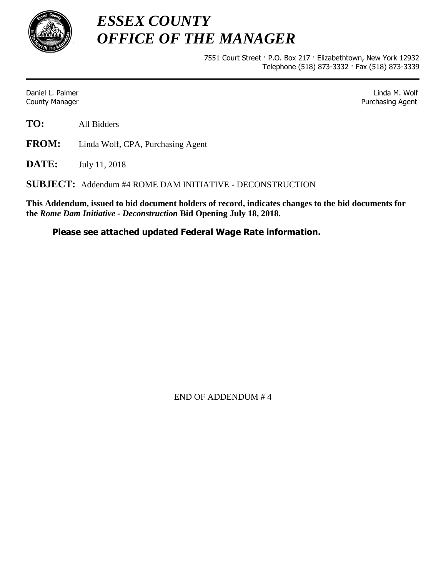

*ESSEX COUNTY OFFICE OF THE MANAGER*

> 7551 Court Street · P.O. Box 217 · Elizabethtown, New York 12932 Telephone (518) 873-3332 · Fax (518) 873-3339

Daniel L. Palmer Linda M. Wolf **County Manager County Manager 2018 Purchasing Agent** County Manager 2018 **Purchasing Agent** 

**TO:** All Bidders

**FROM:** Linda Wolf, CPA, Purchasing Agent

**DATE:** July 11, 2018

**SUBJECT:** Addendum #4 ROME DAM INITIATIVE - DECONSTRUCTION

**This Addendum, issued to bid document holders of record, indicates changes to the bid documents for the** *Rome Dam Initiative - Deconstruction* **Bid Opening July 18, 2018.**

## **Please see attached updated Federal Wage Rate information.**

END OF ADDENDUM # 4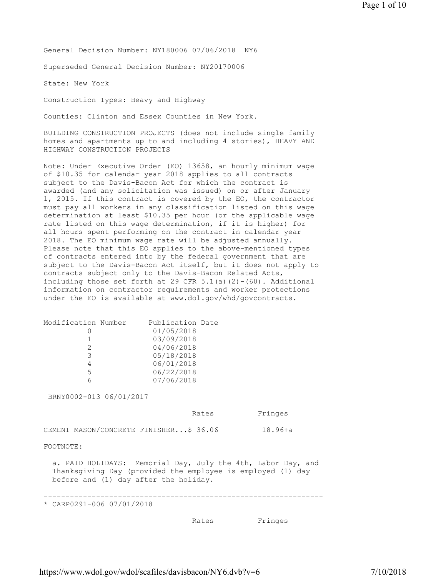General Decision Number: NY180006 07/06/2018 NY6

Superseded General Decision Number: NY20170006

State: New York

Construction Types: Heavy and Highway

Counties: Clinton and Essex Counties in New York.

BUILDING CONSTRUCTION PROJECTS (does not include single family homes and apartments up to and including 4 stories), HEAVY AND HIGHWAY CONSTRUCTION PROJECTS

Note: Under Executive Order (EO) 13658, an hourly minimum wage of \$10.35 for calendar year 2018 applies to all contracts subject to the Davis-Bacon Act for which the contract is awarded (and any solicitation was issued) on or after January 1, 2015. If this contract is covered by the EO, the contractor must pay all workers in any classification listed on this wage determination at least \$10.35 per hour (or the applicable wage rate listed on this wage determination, if it is higher) for all hours spent performing on the contract in calendar year 2018. The EO minimum wage rate will be adjusted annually. Please note that this EO applies to the above-mentioned types of contracts entered into by the federal government that are subject to the Davis-Bacon Act itself, but it does not apply to contracts subject only to the Davis-Bacon Related Acts, including those set forth at 29 CFR  $5.1(a)(2)-(60)$ . Additional information on contractor requirements and worker protections under the EO is available at www.dol.gov/whd/govcontracts.

| Modification Number<br>0<br>1<br>$\overline{c}$<br>3<br>$\overline{4}$<br>5<br>6 | Publication Date<br>01/05/2018<br>03/09/2018<br>04/06/2018<br>05/18/2018<br>06/01/2018<br>06/22/2018<br>07/06/2018          |             |
|----------------------------------------------------------------------------------|-----------------------------------------------------------------------------------------------------------------------------|-------------|
| BRNY0002-013 06/01/2017                                                          |                                                                                                                             |             |
|                                                                                  | Rates                                                                                                                       | Fringes     |
| CEMENT MASON/CONCRETE FINISHER\$ 36.06                                           |                                                                                                                             | $18.96 + a$ |
| FOOTNOTE:                                                                        |                                                                                                                             |             |
| before and (1) day after the holiday.                                            | a. PAID HOLIDAYS: Memorial Day, July the 4th, Labor Day, and<br>Thanksqiving Day (provided the employee is employed (1) day |             |
| * CARP0291-006 07/01/2018                                                        |                                                                                                                             |             |
|                                                                                  | Rates                                                                                                                       | Fringes     |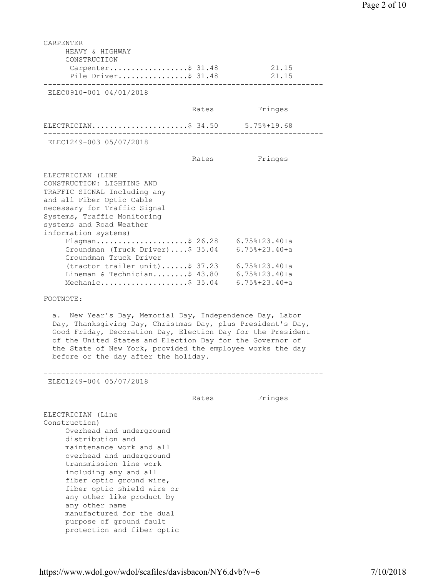| CARPENTER<br>HEAVY & HIGHWAY                                                                                                                                                                                                                                                                                                                                   |       |                 |
|----------------------------------------------------------------------------------------------------------------------------------------------------------------------------------------------------------------------------------------------------------------------------------------------------------------------------------------------------------------|-------|-----------------|
| CONSTRUCTION                                                                                                                                                                                                                                                                                                                                                   |       |                 |
| Carpenter\$ 31.48                                                                                                                                                                                                                                                                                                                                              |       | 21.15           |
| Pile Driver\$ 31.48                                                                                                                                                                                                                                                                                                                                            |       | 21.15           |
| ELEC0910-001 04/01/2018                                                                                                                                                                                                                                                                                                                                        |       |                 |
|                                                                                                                                                                                                                                                                                                                                                                | Rates | Fringes         |
| ELECTRICIAN\$ 34.50 5.75%+19.68<br><u> De Bergele Bergele I</u> I.                                                                                                                                                                                                                                                                                             |       |                 |
| ELEC1249-003 05/07/2018                                                                                                                                                                                                                                                                                                                                        |       |                 |
|                                                                                                                                                                                                                                                                                                                                                                | Rates | Fringes         |
| ELECTRICIAN (LINE<br>CONSTRUCTION: LIGHTING AND<br>TRAFFIC SIGNAL Including any<br>and all Fiber Optic Cable<br>necessary for Traffic Signal<br>Systems, Traffic Monitoring<br>systems and Road Weather<br>information systems)                                                                                                                                |       |                 |
| Flagman\$ 26.28 6.75%+23.40+a<br>Groundman (Truck Driver)\$ 35.04 6.75%+23.40+a                                                                                                                                                                                                                                                                                |       |                 |
| Groundman Truck Driver                                                                                                                                                                                                                                                                                                                                         |       |                 |
| (tractor trailer unit)  \$ 37.23    6.75%+23.40+a                                                                                                                                                                                                                                                                                                              |       |                 |
| Lineman & Technician\$ 43.80                                                                                                                                                                                                                                                                                                                                   |       | 6.75%+23.40+a   |
| Mechanic\$ 35.04                                                                                                                                                                                                                                                                                                                                               |       | $6.75%+23.40+a$ |
| FOOTNOTE:                                                                                                                                                                                                                                                                                                                                                      |       |                 |
| New Year's Day, Memorial Day, Independence Day, Labor<br>a.<br>Day, Thanksgiving Day, Christmas Day, plus President's Day,<br>Good Friday, Decoration Day, Election Day for the President<br>of the United States and Election Day for the Governor of<br>the State of New York, provided the employee works the day<br>before or the day after the holiday.   |       |                 |
| ELEC1249-004 05/07/2018                                                                                                                                                                                                                                                                                                                                        |       |                 |
|                                                                                                                                                                                                                                                                                                                                                                | Rates | Fringes         |
| ELECTRICIAN (Line<br>Construction)<br>Overhead and underground<br>distribution and<br>maintenance work and all<br>overhead and underground<br>transmission line work<br>including any and all<br>fiber optic ground wire,<br>fiber optic shield wire or<br>any other like product by<br>any other name<br>manufactured for the dual<br>purpose of ground fault |       |                 |

protection and fiber optic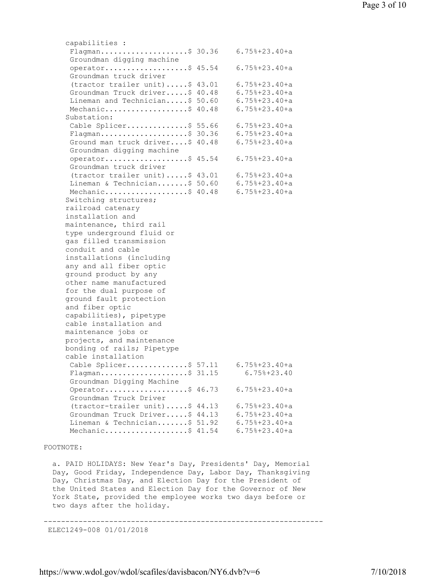capabilities : Flagman....................\$ 30.36 6.75%+23.40+a Groundman digging machine operator...................\$ 45.54 6.75%+23.40+a Groundman truck driver (tractor trailer unit).....\$ 43.01 6.75%+23.40+a Groundman Truck driver.....\$ 40.48 6.75%+23.40+a Lineman and Technician.....\$ 50.60 6.75%+23.40+a Mechanic.....................\$ 40.48 6.75%+23.40+a Substation: Cable Splicer..............\$ 55.66 6.75%+23.40+a Flagman....................\$ 30.36 6.75%+23.40+a Ground man truck driver....\$ 40.48 6.75%+23.40+a Groundman digging machine operator...................\$ 45.54 6.75%+23.40+a Groundman truck driver (tractor trailer unit).....\$ 43.01 6.75%+23.40+a Lineman & Technician.......\$ 50.60 6.75%+23.40+a Mechanic.....................\$ 40.48 6.75%+23.40+a Switching structures; railroad catenary installation and maintenance, third rail type underground fluid or gas filled transmission conduit and cable installations (including any and all fiber optic ground product by any other name manufactured for the dual purpose of ground fault protection and fiber optic capabilities), pipetype cable installation and maintenance jobs or projects, and maintenance bonding of rails; Pipetype cable installation Cable Splicer..............\$ 57.11 6.75%+23.40+a Flagman....................\$ 31.15 6.75%+23.40 Groundman Digging Machine Operator...................\$ 46.73 6.75%+23.40+a Groundman Truck Driver (tractor-trailer unit).....\$ 44.13 6.75%+23.40+a Groundman Truck Driver.....\$ 44.13 6.75%+23.40+a Lineman & Technician.......\$ 51.92 6.75%+23.40+a Mechanic....................\$ 41.54 6.75%+23.40+a FOOTNOTE:

 a. PAID HOLIDAYS: New Year's Day, Presidents' Day, Memorial Day, Good Friday, Independence Day, Labor Day, Thanksgiving Day, Christmas Day, and Election Day for the President of the United States and Election Day for the Governor of New York State, provided the employee works two days before or two days after the holiday.

----------------------------------------------------------------

ELEC1249-008 01/01/2018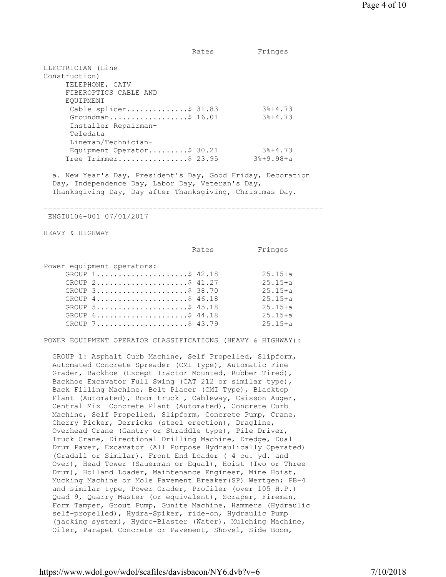ELECTRICIAN (Line Construction) TELEPHONE, CATV FIBEROPTICS CABLE AND EQUIPMENT Cable splicer..............\$ 31.83 3%+4.73 Groundman..................\$ 16.01 3%+4.73 Installer Repairman- Teledata Lineman/Technician- Equipment Operator.........\$ 30.21 3%+4.73<br>Tree Trimmer................\$ 23.95 3%+9.98+a Tree Trimmer................\$ 23.95 a. New Year's Day, President's Day, Good Friday, Decoration Day, Independence Day, Labor Day, Veteran's Day, Thanksgiving Day, Day after Thanksgiving, Christmas Day. ---------------------------------------------------------------- ENGI0106-001 07/01/2017 HEAVY & HIGHWAY Rates Fringes Power equipment operators: GROUP 1...........................\$ 42.18 25.15+a GROUP 2...........................\$ 41.27 25.15+a GROUP 3.........................\$ 38.70 25.15+a GROUP 4........................\$ 46.18 25.15+a GROUP 5........................\$ 45.18 25.15+a GROUP 6..........................\$ 44.18 25.15+a GROUP 7.......................\$ 43.79 25.15+a POWER EQUIPMENT OPERATOR CLASSIFICATIONS (HEAVY & HIGHWAY): GROUP 1: Asphalt Curb Machine, Self Propelled, Slipform, Automated Concrete Spreader (CMI Type), Automatic Fine Grader, Backhoe (Except Tractor Mounted, Rubber Tired), Backhoe Excavator Full Swing (CAT 212 or similar type), Back Filling Machine, Belt Placer (CMI Type), Blacktop Plant (Automated), Boom truck , Cableway, Caisson Auger, Central Mix Concrete Plant (Automated), Concrete Curb Machine, Self Propelled, Slipform, Concrete Pump, Crane, Cherry Picker, Derricks (steel erection), Dragline, Overhead Crane (Gantry or Straddle type), Pile Driver, Truck Crane, Directional Drilling Machine, Dredge, Dual Drum Paver, Excavator (All Purpose Hydraulically Operated) (Gradall or Similar), Front End Loader ( 4 cu. yd. and Over), Head Tower (Sauerman or Equal), Hoist (Two or Three Drum), Holland Loader, Maintenance Engineer, Mine Hoist, Mucking Machine or Mole Pavement Breaker(SP) Wertgen; PB-4 and similar type, Power Grader, Profiler (over 105 H.P.) Quad 9, Quarry Master (or equivalent), Scraper, Fireman, Form Tamper, Grout Pump, Gunite Machine, Hammers (Hydraulic self-propelled), Hydra-Spiker, ride-on, Hydraulic Pump (jacking system), Hydro-Blaster (Water), Mulching Machine,

Rates Fringes

https://www.wdol.gov/wdol/scafiles/davisbacon/NY6.dvb?v=6 7/10/2018

Oiler, Parapet Concrete or Pavement, Shovel, Side Boom,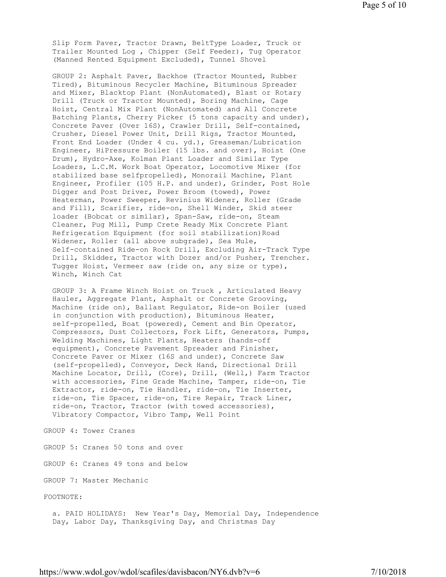Slip Form Paver, Tractor Drawn, BeltType Loader, Truck or Trailer Mounted Log , Chipper (Self Feeder), Tug Operator (Manned Rented Equipment Excluded), Tunnel Shovel

 GROUP 2: Asphalt Paver, Backhoe (Tractor Mounted, Rubber Tired), Bituminous Recycler Machine, Bituminous Spreader and Mixer, Blacktop Plant (NonAutomated), Blast or Rotary Drill (Truck or Tractor Mounted), Boring Machine, Cage Hoist, Central Mix Plant (NonAutomated) and All Concrete Batching Plants, Cherry Picker (5 tons capacity and under), Concrete Paver (Over 16S), Crawler Drill, Self-contained, Crusher, Diesel Power Unit, Drill Rigs, Tractor Mounted, Front End Loader (Under 4 cu. yd.), Greaseman/Lubrication Engineer, HiPressure Boiler (15 lbs. and over), Hoist (One Drum), Hydro-Axe, Kolman Plant Loader and Similar Type Loaders, L.C.M. Work Boat Operator, Locomotive Mixer (for stabilized base selfpropelled), Monorail Machine, Plant Engineer, Profiler (105 H.P. and under), Grinder, Post Hole Digger and Post Driver, Power Broom (towed), Power Heaterman, Power Sweeper, Revinius Widener, Roller (Grade and Fill), Scarifier, ride-on, Shell Winder, Skid steer loader (Bobcat or similar), Span-Saw, ride-on, Steam Cleaner, Pug Mill, Pump Crete Ready Mix Concrete Plant Refrigeration Equipment (for soil stabilization) Road Widener, Roller (all above subgrade), Sea Mule, Self-contained Ride-on Rock Drill, Excluding Air-Track Type Drill, Skidder, Tractor with Dozer and/or Pusher, Trencher. Tugger Hoist, Vermeer saw (ride on, any size or type), Winch, Winch Cat

 GROUP 3: A Frame Winch Hoist on Truck , Articulated Heavy Hauler, Aggregate Plant, Asphalt or Concrete Grooving, Machine (ride on), Ballast Regulator, Ride-on Boiler (used in conjunction with production), Bituminous Heater, self-propelled, Boat (powered), Cement and Bin Operator, Compressors, Dust Collectors, Fork Lift, Generators, Pumps, Welding Machines, Light Plants, Heaters (hands-off equipment), Concrete Pavement Spreader and Finisher, Concrete Paver or Mixer (16S and under), Concrete Saw (self-propelled), Conveyor, Deck Hand, Directional Drill Machine Locator, Drill, (Core), Drill, (Well,) Farm Tractor with accessories, Fine Grade Machine, Tamper, ride-on, Tie Extractor, ride-on, Tie Handler, ride-on, Tie Inserter, ride-on, Tie Spacer, ride-on, Tire Repair, Track Liner, ride-on, Tractor, Tractor (with towed accessories), Vibratory Compactor, Vibro Tamp, Well Point

GROUP 4: Tower Cranes

GROUP 5: Cranes 50 tons and over

GROUP 6: Cranes 49 tons and below

GROUP 7: Master Mechanic

FOOTNOTE:

 a. PAID HOLIDAYS: New Year's Day, Memorial Day, Independence Day, Labor Day, Thanksgiving Day, and Christmas Day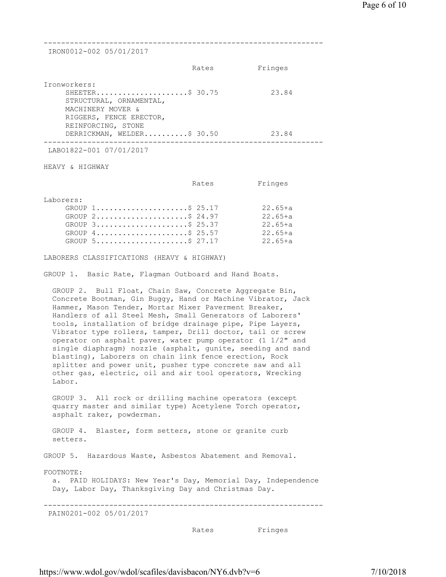| IRON0012-002 05/01/2017                                                                                                                                                                                                                                                                                                                                                                                                                                                                                                                                                                                                                                                                            |       |                                                               |
|----------------------------------------------------------------------------------------------------------------------------------------------------------------------------------------------------------------------------------------------------------------------------------------------------------------------------------------------------------------------------------------------------------------------------------------------------------------------------------------------------------------------------------------------------------------------------------------------------------------------------------------------------------------------------------------------------|-------|---------------------------------------------------------------|
|                                                                                                                                                                                                                                                                                                                                                                                                                                                                                                                                                                                                                                                                                                    | Rates | Fringes                                                       |
| Ironworkers:<br>SHEETER\$ 30.75<br>STRUCTURAL, ORNAMENTAL,<br>MACHINERY MOVER &<br>RIGGERS, FENCE ERECTOR,<br>REINFORCING, STONE                                                                                                                                                                                                                                                                                                                                                                                                                                                                                                                                                                   |       | 23.84                                                         |
| DERRICKMAN, WELDER\$ 30.50<br>-----------------------------                                                                                                                                                                                                                                                                                                                                                                                                                                                                                                                                                                                                                                        |       | 23.84                                                         |
| LAB01822-001 07/01/2017                                                                                                                                                                                                                                                                                                                                                                                                                                                                                                                                                                                                                                                                            |       |                                                               |
| HEAVY & HIGHWAY                                                                                                                                                                                                                                                                                                                                                                                                                                                                                                                                                                                                                                                                                    |       |                                                               |
|                                                                                                                                                                                                                                                                                                                                                                                                                                                                                                                                                                                                                                                                                                    | Rates | Fringes                                                       |
| Laborers:<br>GROUP 1\$ 25.17<br>GROUP 2\$ 24.97<br>GROUP 3\$ 25.37<br>GROUP 4\$ 25.57<br>GROUP $5 \ldots \ldots \ldots \ldots \ldots \ldots \text{.} 27.17$                                                                                                                                                                                                                                                                                                                                                                                                                                                                                                                                        |       | $22.65 + a$<br>$22.65 + a$<br>22.65+a<br>22.65+a<br>$22.65+a$ |
| LABORERS CLASSIFICATIONS (HEAVY & HIGHWAY)                                                                                                                                                                                                                                                                                                                                                                                                                                                                                                                                                                                                                                                         |       |                                                               |
| GROUP 1. Basic Rate, Flagman Outboard and Hand Boats.                                                                                                                                                                                                                                                                                                                                                                                                                                                                                                                                                                                                                                              |       |                                                               |
| GROUP 2. Bull Float, Chain Saw, Concrete Aggregate Bin,<br>Concrete Bootman, Gin Buggy, Hand or Machine Vibrator, Jack<br>Hammer, Mason Tender, Mortar Mixer Paverment Breaker,<br>Handlers of all Steel Mesh, Small Generators of Laborers'<br>tools, installation of bridge drainage pipe, Pipe Layers,<br>Vibrator type rollers, tamper, Drill doctor, tail or screw<br>operator on asphalt paver, water pump operator (1 1/2" and<br>single diaphragm) nozzle (asphalt, gunite, seeding and sand<br>blasting), Laborers on chain link fence erection, Rock<br>splitter and power unit, pusher type concrete saw and all<br>other gas, electric, oil and air tool operators, Wrecking<br>Labor. |       |                                                               |
| GROUP 3. All rock or drilling machine operators (except<br>quarry master and similar type) Acetylene Torch operator,<br>asphalt raker, powderman.                                                                                                                                                                                                                                                                                                                                                                                                                                                                                                                                                  |       |                                                               |
| GROUP 4. Blaster, form setters, stone or granite curb<br>setters.                                                                                                                                                                                                                                                                                                                                                                                                                                                                                                                                                                                                                                  |       |                                                               |
| GROUP 5. Hazardous Waste, Asbestos Abatement and Removal.                                                                                                                                                                                                                                                                                                                                                                                                                                                                                                                                                                                                                                          |       |                                                               |
| FOOTNOTE:<br>a. PAID HOLIDAYS: New Year's Day, Memorial Day, Independence<br>Day, Labor Day, Thanksgiving Day and Christmas Day.                                                                                                                                                                                                                                                                                                                                                                                                                                                                                                                                                                   |       |                                                               |
| PAIN0201-002 05/01/2017                                                                                                                                                                                                                                                                                                                                                                                                                                                                                                                                                                                                                                                                            |       |                                                               |
|                                                                                                                                                                                                                                                                                                                                                                                                                                                                                                                                                                                                                                                                                                    | Rates | Fringes                                                       |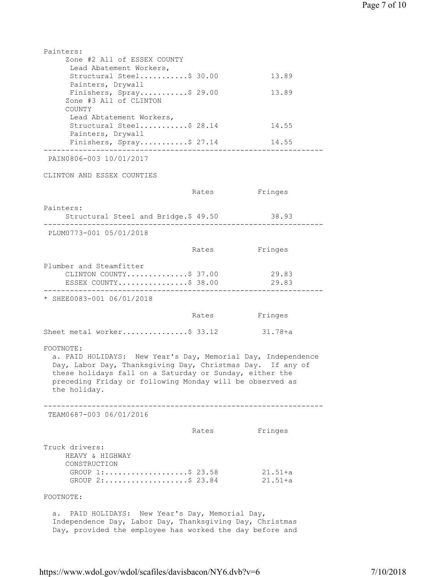| Painters:                                                                                                                                                                                                                                                                      |       |                |
|--------------------------------------------------------------------------------------------------------------------------------------------------------------------------------------------------------------------------------------------------------------------------------|-------|----------------|
| Zone #2 All of ESSEX COUNTY                                                                                                                                                                                                                                                    |       |                |
| Lead Abatement Workers,<br>Structural Steel\$ 30.00                                                                                                                                                                                                                            |       | 13.89          |
| Painters, Drywall                                                                                                                                                                                                                                                              |       |                |
| Finishers, Spray\$ 29.00                                                                                                                                                                                                                                                       |       | 13.89          |
| Zone #3 All of CLINTON<br>COUNTY                                                                                                                                                                                                                                               |       |                |
| Lead Abtatement Workers,                                                                                                                                                                                                                                                       |       |                |
| Structural Steel\$ 28.14                                                                                                                                                                                                                                                       |       | 14.55          |
| Painters, Drywall<br>Finishers, Spray\$ 27.14<br>---------                                                                                                                                                                                                                     |       | 14.55          |
| PAIN0806-003 10/01/2017                                                                                                                                                                                                                                                        |       |                |
| CLINTON AND ESSEX COUNTIES                                                                                                                                                                                                                                                     |       |                |
|                                                                                                                                                                                                                                                                                | Rates | Fringes        |
| Painters:                                                                                                                                                                                                                                                                      |       |                |
| Structural Steel and Bridge.\$ 49.50<br>--------------------                                                                                                                                                                                                                   |       | 38.93          |
| PLUM0773-001 05/01/2018                                                                                                                                                                                                                                                        |       |                |
|                                                                                                                                                                                                                                                                                | Rates | Fringes        |
| Plumber and Steamfitter                                                                                                                                                                                                                                                        |       |                |
| CLINTON COUNTY\$ 37.00<br>ESSEX COUNTY\$ 38.00                                                                                                                                                                                                                                 |       | 29.83<br>29.83 |
| * SHEE0083-001 06/01/2018                                                                                                                                                                                                                                                      |       |                |
|                                                                                                                                                                                                                                                                                | Rates | Fringes        |
| Sheet metal worker\$ 33.12                                                                                                                                                                                                                                                     |       | 31.78+a        |
| FOOTNOTE:<br>a. PAID HOLIDAYS: New Year's Day, Memorial Day, Independence<br>Day, Labor Day, Thanksgiving Day, Christmas Day. If any of<br>these holidays fall on a Saturday or Sunday, either the<br>preceding Friday or following Monday will be observed as<br>the holiday. |       |                |
| TEAM0687-003 06/01/2016                                                                                                                                                                                                                                                        |       |                |
|                                                                                                                                                                                                                                                                                | Rates | Fringes        |
| Truck drivers:<br>HEAVY & HIGHWAY<br>CONSTRUCTION<br>GROUP 1:\$ 23.58                                                                                                                                                                                                          |       | $21.51+a$      |
| GROUP $2: \ldots: \ldots: \ldots: \ldots \$ 23.84                                                                                                                                                                                                                              |       | $21.51+a$      |
| FOOTNOTE:                                                                                                                                                                                                                                                                      |       |                |
| PAID HOLIDAYS: New Year's Day, Memorial Day,<br>а.<br>Independence Day, Labor Day, Thanksgiving Day, Christmas<br>Day, provided the employee has worked the day before and                                                                                                     |       |                |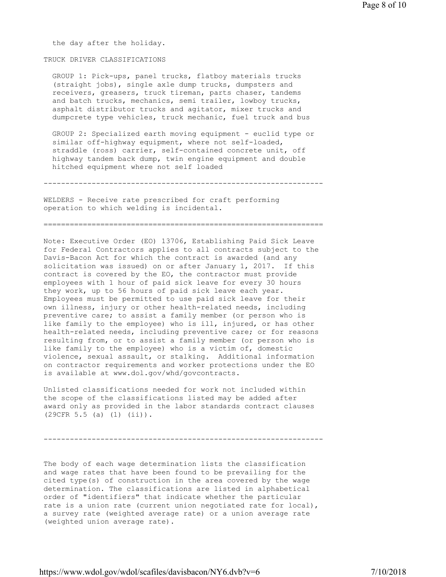the day after the holiday.

## TRUCK DRIVER CLASSIFICATIONS

 GROUP 1: Pick-ups, panel trucks, flatboy materials trucks (straight jobs), single axle dump trucks, dumpsters and receivers, greasers, truck tireman, parts chaser, tandems and batch trucks, mechanics, semi trailer, lowboy trucks, asphalt distributor trucks and agitator, mixer trucks and dumpcrete type vehicles, truck mechanic, fuel truck and bus

 GROUP 2: Specialized earth moving equipment - euclid type or similar off-highway equipment, where not self-loaded, straddle (ross) carrier, self-contained concrete unit, off highway tandem back dump, twin engine equipment and double hitched equipment where not self loaded

----------------------------------------------------------------

WELDERS - Receive rate prescribed for craft performing operation to which welding is incidental.

================================================================

Note: Executive Order (EO) 13706, Establishing Paid Sick Leave for Federal Contractors applies to all contracts subject to the Davis-Bacon Act for which the contract is awarded (and any solicitation was issued) on or after January 1, 2017. If this contract is covered by the EO, the contractor must provide employees with 1 hour of paid sick leave for every 30 hours they work, up to 56 hours of paid sick leave each year. Employees must be permitted to use paid sick leave for their own illness, injury or other health-related needs, including preventive care; to assist a family member (or person who is like family to the employee) who is ill, injured, or has other health-related needs, including preventive care; or for reasons resulting from, or to assist a family member (or person who is like family to the employee) who is a victim of, domestic violence, sexual assault, or stalking. Additional information on contractor requirements and worker protections under the EO is available at www.dol.gov/whd/govcontracts.

Unlisted classifications needed for work not included within the scope of the classifications listed may be added after award only as provided in the labor standards contract clauses (29CFR 5.5 (a) (1) (ii)).

----------------------------------------------------------------

The body of each wage determination lists the classification and wage rates that have been found to be prevailing for the cited type(s) of construction in the area covered by the wage determination. The classifications are listed in alphabetical order of "identifiers" that indicate whether the particular rate is a union rate (current union negotiated rate for local), a survey rate (weighted average rate) or a union average rate (weighted union average rate).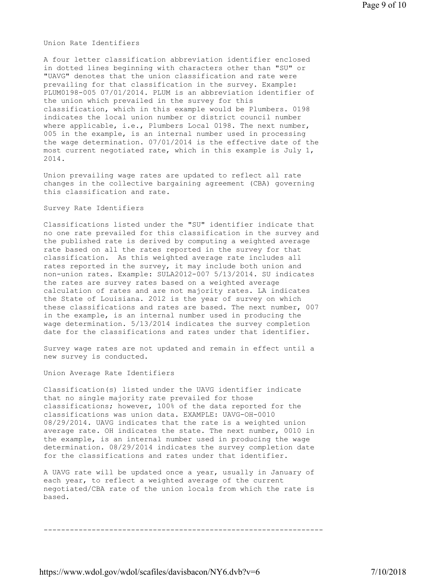Union Rate Identifiers

A four letter classification abbreviation identifier enclosed in dotted lines beginning with characters other than "SU" or "UAVG" denotes that the union classification and rate were prevailing for that classification in the survey. Example: PLUM0198-005 07/01/2014. PLUM is an abbreviation identifier of the union which prevailed in the survey for this classification, which in this example would be Plumbers. 0198 indicates the local union number or district council number where applicable, i.e., Plumbers Local 0198. The next number, 005 in the example, is an internal number used in processing the wage determination. 07/01/2014 is the effective date of the most current negotiated rate, which in this example is July 1, 2014.

Union prevailing wage rates are updated to reflect all rate changes in the collective bargaining agreement (CBA) governing this classification and rate.

## Survey Rate Identifiers

Classifications listed under the "SU" identifier indicate that no one rate prevailed for this classification in the survey and the published rate is derived by computing a weighted average rate based on all the rates reported in the survey for that classification. As this weighted average rate includes all rates reported in the survey, it may include both union and non-union rates. Example: SULA2012-007 5/13/2014. SU indicates the rates are survey rates based on a weighted average calculation of rates and are not majority rates. LA indicates the State of Louisiana. 2012 is the year of survey on which these classifications and rates are based. The next number, 007 in the example, is an internal number used in producing the wage determination. 5/13/2014 indicates the survey completion date for the classifications and rates under that identifier.

Survey wage rates are not updated and remain in effect until a new survey is conducted.

Union Average Rate Identifiers

Classification(s) listed under the UAVG identifier indicate that no single majority rate prevailed for those classifications; however, 100% of the data reported for the classifications was union data. EXAMPLE: UAVG-OH-0010 08/29/2014. UAVG indicates that the rate is a weighted union average rate. OH indicates the state. The next number, 0010 in the example, is an internal number used in producing the wage determination. 08/29/2014 indicates the survey completion date for the classifications and rates under that identifier.

A UAVG rate will be updated once a year, usually in January of each year, to reflect a weighted average of the current negotiated/CBA rate of the union locals from which the rate is based.

----------------------------------------------------------------

https://www.wdol.gov/wdol/scafiles/davisbacon/NY6.dvb?v=6 7/10/2018